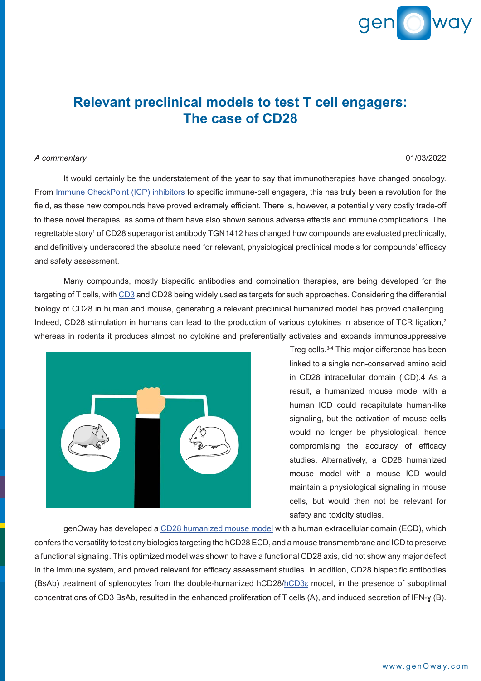

## **Relevant preclinical models to test T cell engagers: The case of CD28**

## *A commentary* 01/03/2022

It would certainly be the understatement of the year to say that immunotherapies have changed oncology. From [Immune CheckPoint \(ICP\) inhibitors](https://www.genoway.com/commentaries/icp.htm?utm_source=commentary&utm_medium=pdf&utm_campaign=webpage) to specific immune-cell engagers, this has truly been a revolution for the field, as these new compounds have proved extremely efficient. There is, however, a potentially very costly trade-off to these novel therapies, as some of them have also shown serious adverse effects and immune complications. The regrettable story<sup>1</sup> of CD28 superagonist antibody TGN1412 has changed how compounds are evaluated preclinically, and definitively underscored the absolute need for relevant, physiological preclinical models for compounds' efficacy and safety assessment.

Many compounds, mostly bispecific antibodies and combination therapies, are being developed for the targeting of T cells, with [CD3](https://www.genoway.com/commentaries/hcd3e-comment.htm?utm_source=commentary&utm_medium=pdf&utm_campaign=webpage) and CD28 being widely used as targets for such approaches. Considering the differential biology of CD28 in human and mouse, generating a relevant preclinical humanized model has proved challenging. Indeed, CD28 stimulation in humans can lead to the production of various cytokines in absence of TCR ligation,<sup>2</sup> whereas in rodents it produces almost no cytokine and preferentially activates and expands immunosuppressive



Treg cells.3-4 This major difference has been linked to a single non-conserved amino acid in CD28 intracellular domain (ICD).4 As a result, a humanized mouse model with a human ICD could recapitulate human-like signaling, but the activation of mouse cells would no longer be physiological, hence compromising the accuracy of efficacy studies. Alternatively, a CD28 humanized mouse model with a mouse ICD would maintain a physiological signaling in mouse cells, but would then not be relevant for safety and toxicity studies.

genOway has developed a [CD28 humanized mouse model](https://www.genoway.com/catalog/humanized-immune-checkpoints/st/hcd28.htm?utm_source=commentary&utm_medium=pdf&utm_campaign=webpage) with a human extracellular domain (ECD), which confers the versatility to test any biologics targeting the hCD28 ECD, and a mouse transmembrane and ICD to preserve a functional signaling. This optimized model was shown to have a functional CD28 axis, did not show any major defect in the immune system, and proved relevant for efficacy assessment studies. In addition, CD28 bispecific antibodies (BsAb) treatment of splenocytes from the double-humanized hCD28/[hCD3ε](https://www.genoway.com/catalog/immune-targets/cell-engagement/human-cd3epsilon.htm?utm_source=commentary&utm_medium=pdf&utm_campaign=webpage) model, in the presence of suboptimal concentrations of CD3 BsAb, resulted in the enhanced proliferation of T cells (A), and induced secretion of IFN-ɣ (B).